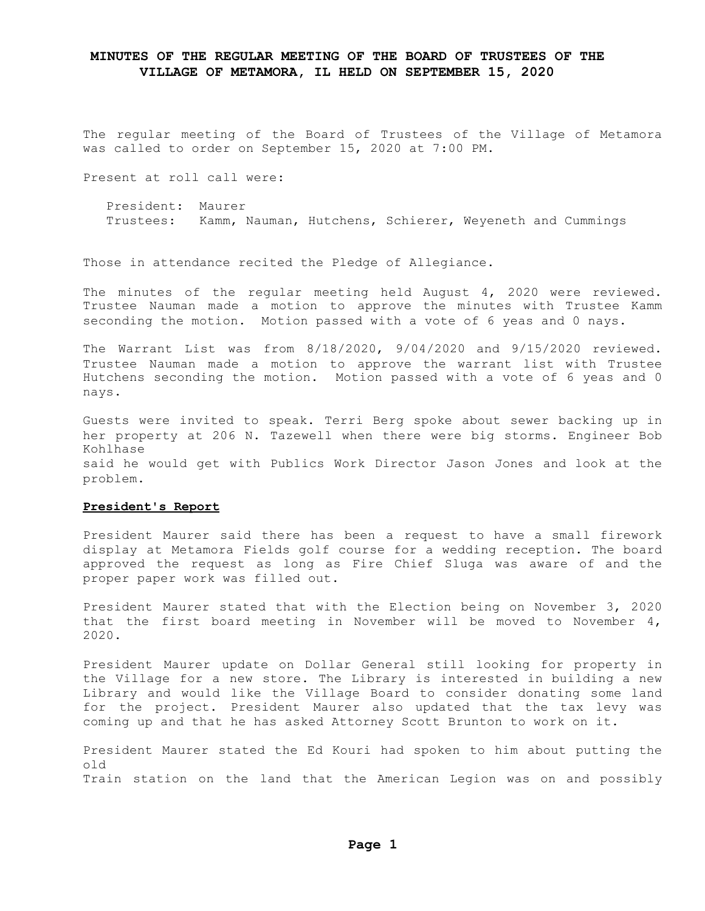The regular meeting of the Board of Trustees of the Village of Metamora was called to order on September 15, 2020 at 7:00 PM.

Present at roll call were:

President: Maurer Trustees: Kamm, Nauman, Hutchens, Schierer, Weyeneth and Cummings

Those in attendance recited the Pledge of Allegiance.

The minutes of the regular meeting held August 4, 2020 were reviewed. Trustee Nauman made a motion to approve the minutes with Trustee Kamm seconding the motion. Motion passed with a vote of 6 yeas and 0 nays.

The Warrant List was from 8/18/2020, 9/04/2020 and 9/15/2020 reviewed. Trustee Nauman made a motion to approve the warrant list with Trustee Hutchens seconding the motion. Motion passed with a vote of 6 yeas and 0 nays.

Guests were invited to speak. Terri Berg spoke about sewer backing up in her property at 206 N. Tazewell when there were big storms. Engineer Bob Kohlhase said he would get with Publics Work Director Jason Jones and look at the problem.

#### **President's Report**

President Maurer said there has been a request to have a small firework display at Metamora Fields golf course for a wedding reception. The board approved the request as long as Fire Chief Sluga was aware of and the proper paper work was filled out.

President Maurer stated that with the Election being on November 3, 2020 that the first board meeting in November will be moved to November  $4$ , 2020.

President Maurer update on Dollar General still looking for property in the Village for a new store. The Library is interested in building a new Library and would like the Village Board to consider donating some land for the project. President Maurer also updated that the tax levy was coming up and that he has asked Attorney Scott Brunton to work on it.

President Maurer stated the Ed Kouri had spoken to him about putting the old Train station on the land that the American Legion was on and possibly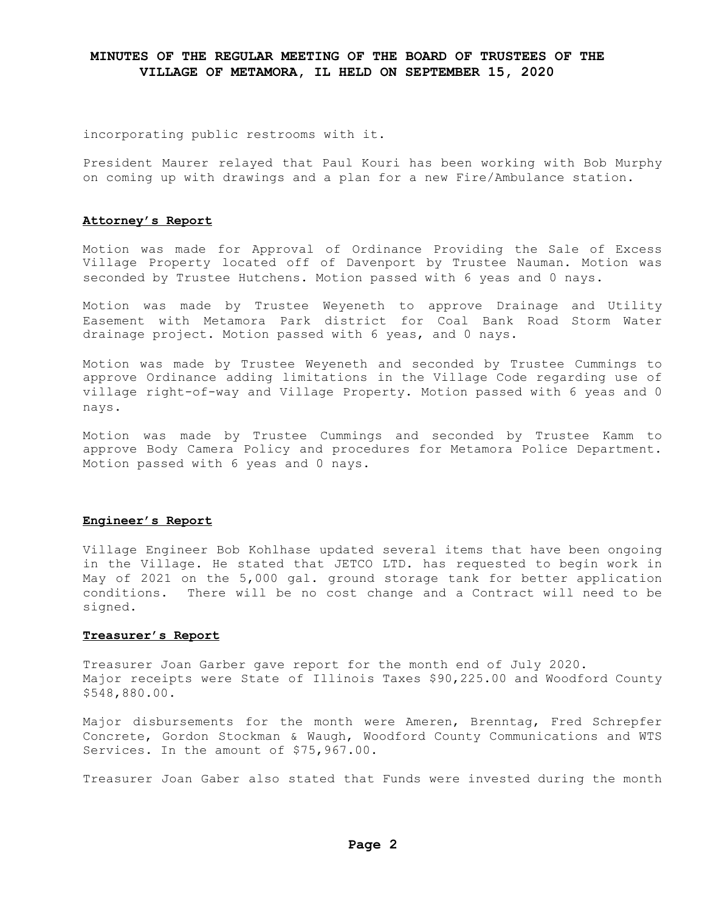incorporating public restrooms with it.

President Maurer relayed that Paul Kouri has been working with Bob Murphy on coming up with drawings and a plan for a new Fire/Ambulance station.

#### **Attorney's Report**

Motion was made for Approval of Ordinance Providing the Sale of Excess Village Property located off of Davenport by Trustee Nauman. Motion was seconded by Trustee Hutchens. Motion passed with 6 yeas and 0 nays.

Motion was made by Trustee Weyeneth to approve Drainage and Utility Easement with Metamora Park district for Coal Bank Road Storm Water drainage project. Motion passed with 6 yeas, and 0 nays.

Motion was made by Trustee Weyeneth and seconded by Trustee Cummings to approve Ordinance adding limitations in the Village Code regarding use of village right-of-way and Village Property. Motion passed with 6 yeas and 0 nays.

Motion was made by Trustee Cummings and seconded by Trustee Kamm to approve Body Camera Policy and procedures for Metamora Police Department. Motion passed with 6 yeas and 0 nays.

### **Engineer's Report**

Village Engineer Bob Kohlhase updated several items that have been ongoing in the Village. He stated that JETCO LTD. has requested to begin work in May of 2021 on the 5,000 gal. ground storage tank for better application conditions. There will be no cost change and a Contract will need to be signed.

#### **Treasurer's Report**

Treasurer Joan Garber gave report for the month end of July 2020. Major receipts were State of Illinois Taxes \$90,225.00 and Woodford County \$548,880.00.

Major disbursements for the month were Ameren, Brenntag, Fred Schrepfer Concrete, Gordon Stockman & Waugh, Woodford County Communications and WTS Services. In the amount of \$75,967.00.

Treasurer Joan Gaber also stated that Funds were invested during the month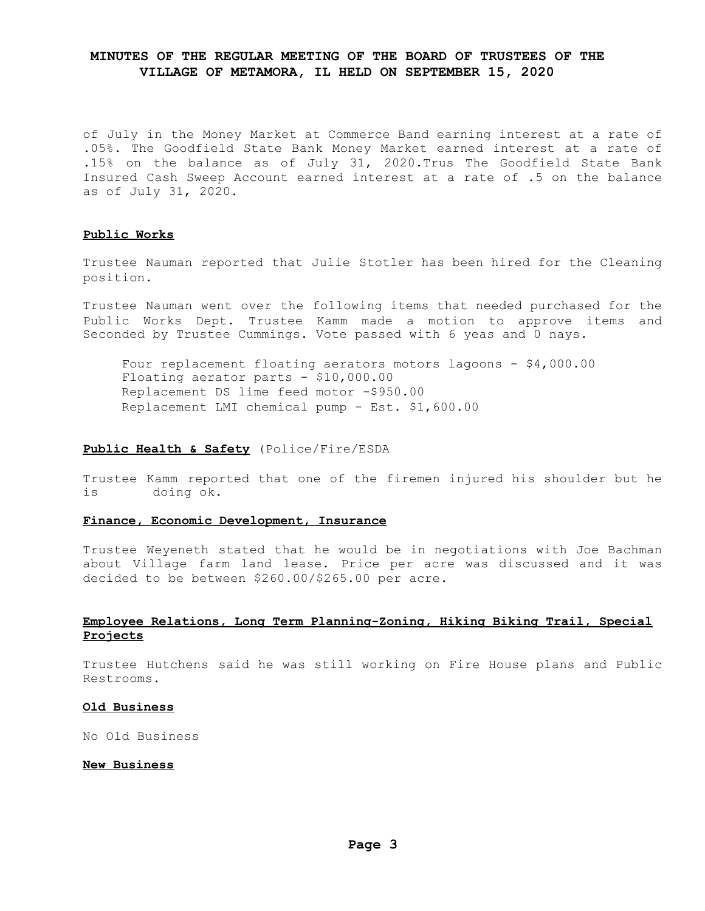of July in the Money Market at Commerce Band earning interest at a rate of .05%. The Goodfield State Bank Money Market earned interest at a rate of .15% on the balance as of July 31, 2020.Trus The Goodfield State Bank Insured Cash Sweep Account earned interest at a rate of .5 on the balance as of July 31, 2020.

## **Public Works**

Trustee Nauman reported that Julie Stotler has been hired for the Cleaning position.

Trustee Nauman went over the following items that needed purchased for the Public Works Dept. Trustee Kamm made a motion to approve items and Seconded by Trustee Cummings. Vote passed with 6 yeas and 0 nays.

Four replacement floating aerators motors lagoons - \$4,000.00 Floating aerator parts - \$10,000.00 Replacement DS lime feed motor -\$950.00 Replacement LMI chemical pump – Est. \$1,600.00

#### **Public Health & Safety** (Police/Fire/ESDA

Trustee Kamm reported that one of the firemen injured his shoulder but he is doing ok.

### **Finance, Economic Development, Insurance**

Trustee Weyeneth stated that he would be in negotiations with Joe Bachman about Village farm land lease. Price per acre was discussed and it was decided to be between \$260.00/\$265.00 per acre.

### **Employee Relations, Long Term Planning-Zoning, Hiking Biking Trail, Special Projects**

Trustee Hutchens said he was still working on Fire House plans and Public Restrooms.

### **Old Business**

No Old Business

#### **New Business**